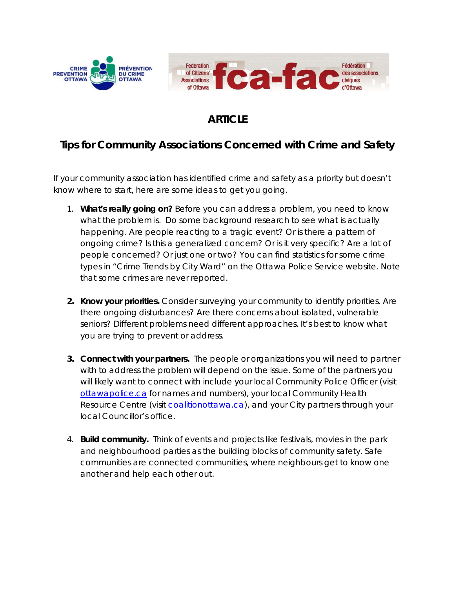

## **ARTICLE**

## **Tips for Community Associations Concerned with Crime and Safety**

If your community association has identified crime and safety as a priority but doesn't know where to start, here are some ideas to get you going.

- 1. **What's really going on?** Before you can address a problem, you need to know what the problem is. Do some background research to see what is actually happening. Are people reacting to a tragic event? Or is there a pattern of ongoing crime? Is this a generalized concern? Or is it very specific? Are a lot of people concerned? Or just one or two? You can find statistics for some crime types in "Crime Trends by City Ward" on the Ottawa Police Service website. Note that some crimes are never reported.
- **2. Know your priorities.** Consider surveying your community to identify priorities. Are there ongoing disturbances? Are there concerns about isolated, vulnerable seniors? Different problems need different approaches. It's best to know what you are trying to prevent or address.
- **3. Connect with your partners.** The people or organizations you will need to partner with to address the problem will depend on the issue. Some of the partners you will likely want to connect with include your local Community Police Officer (visit [ottawapolice.ca](https://www.ottawapolice.ca/en/) for names and numbers), your local Community Health Resource Centre (visit [coalitionottawa.ca\)](http://www.coalitionottawa.ca/), and your City partners through your local Councillor's office.
- 4. **Build community.** Think of events and projects like festivals, movies in the park and neighbourhood parties as the building blocks of community safety. Safe communities are connected communities, where neighbours get to know one another and help each other out.